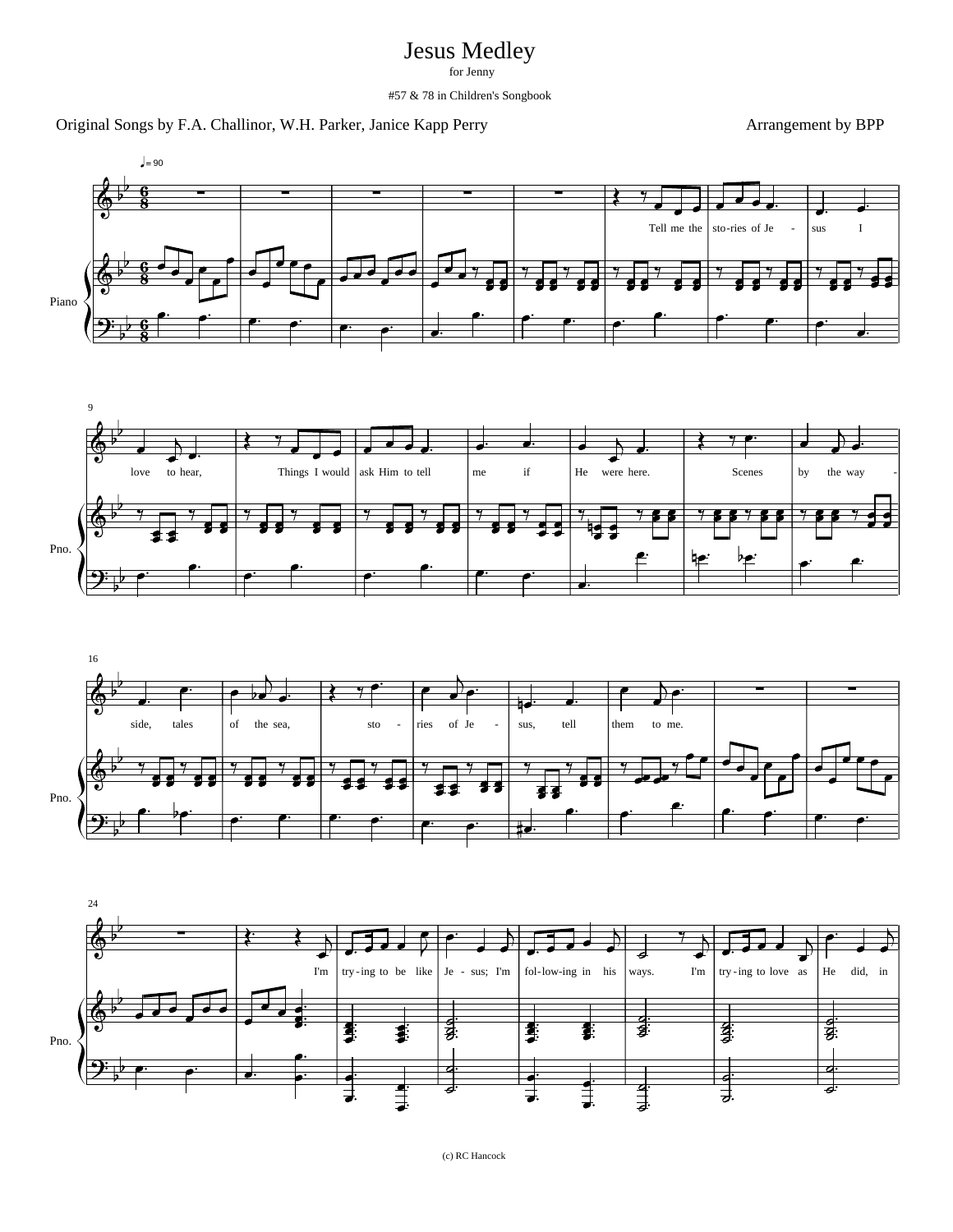## Jesus Medley

for Jenny

#57 & 78 in Children's Songbook

## Original Songs by F.A. Challinor, W.H. Parker, Janice Kapp Perry Arrangement by BPP







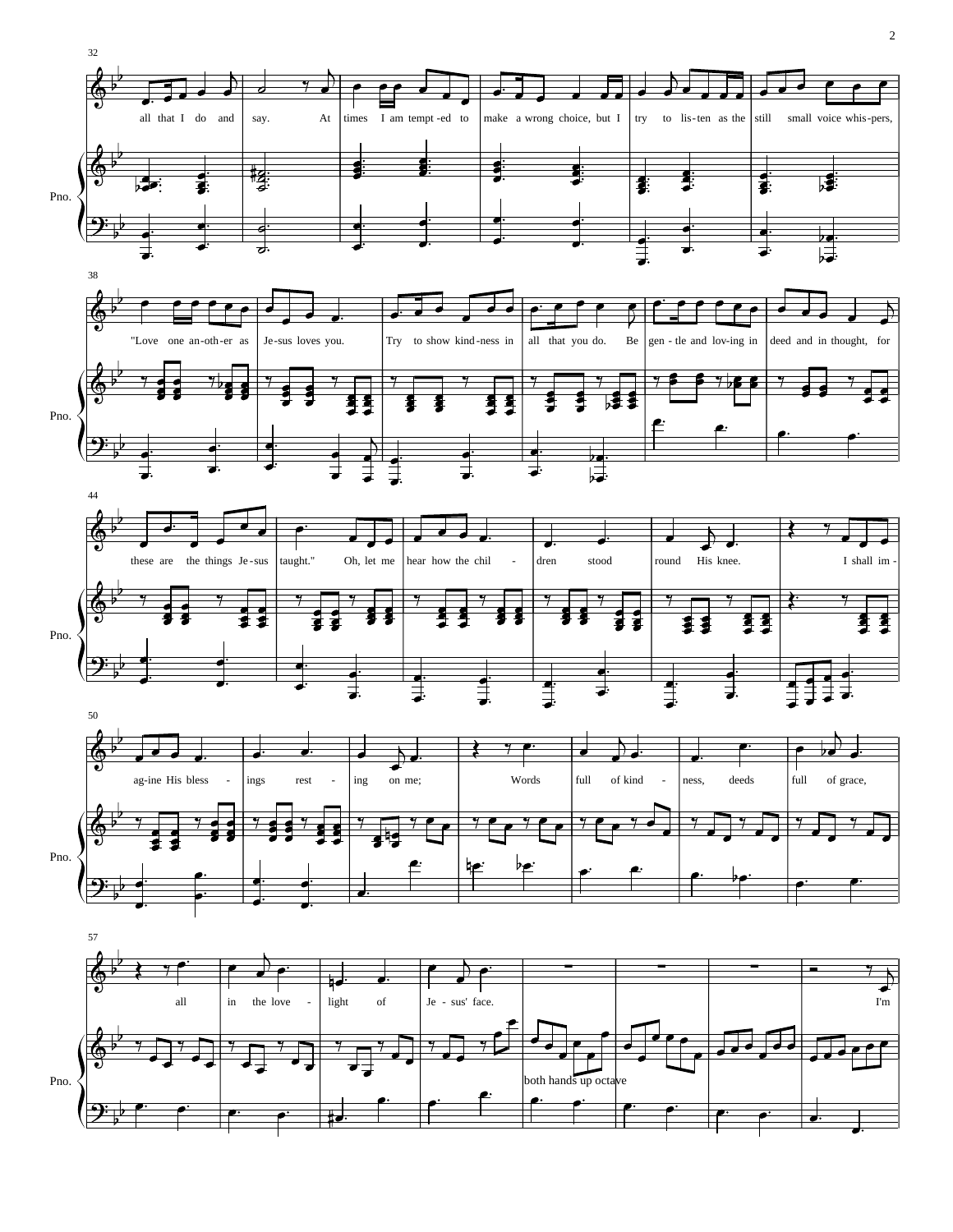